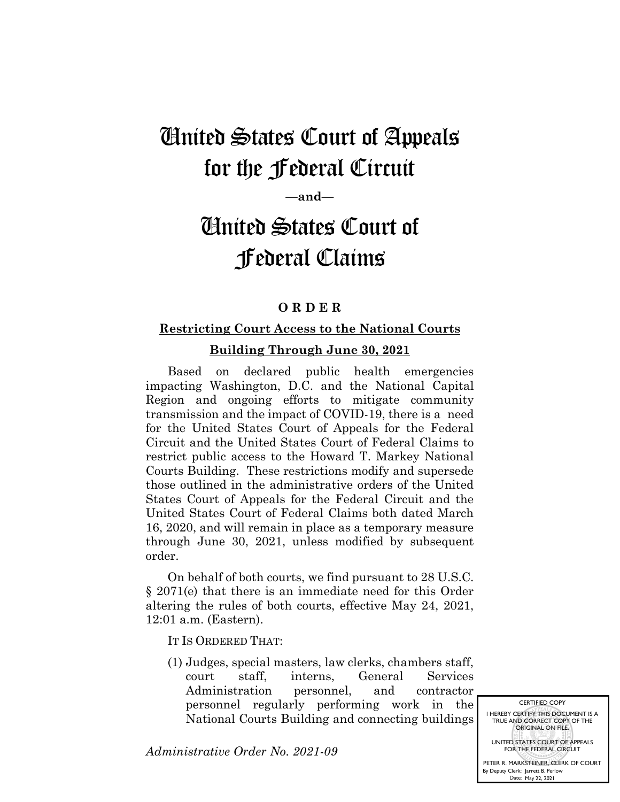## United States Court of Appeals for the Federal Circuit

**—and—**

# United States Court of Federal Claims

### **O R D E R**

### **Restricting Court Access to the National Courts**

#### **Building Through June 30, 2021**

Based on declared public health emergencies impacting Washington, D.C. and the National Capital Region and ongoing efforts to mitigate community transmission and the impact of COVID-19, there is a need for the United States Court of Appeals for the Federal Circuit and the United States Court of Federal Claims to restrict public access to the Howard T. Markey National Courts Building. These restrictions modify and supersede those outlined in the administrative orders of the United States Court of Appeals for the Federal Circuit and the United States Court of Federal Claims both dated March 16, 2020, and will remain in place as a temporary measure through June 30, 2021, unless modified by subsequent order.

On behalf of both courts, we find pursuant to 28 U.S.C. § 2071(e) that there is an immediate need for this Order altering the rules of both courts, effective May 24, 2021, 12:01 a.m. (Eastern).

IT IS ORDERED THAT:

(1) Judges, special masters, law clerks, chambers staff, court staff, interns, General Services Administration personnel, and contractor personnel regularly performing work in the National Courts Building and connecting buildings

*Administrative Order No. 2021-09*

CERTIFIED COPY I HEREBY CERTIFY THIS DOCUMENT IS A TRUE AND CORRECT COPY OF THE ORIGINAL ON FILE. UNITED STATES COURT OF APPEALS FOR THE FEDERAL CIRCUIT

PETER R. MARKSTEINER, CLERK OF COURT By Deputy Clerk: Jarrett B. Perlow Date: May 22, 2021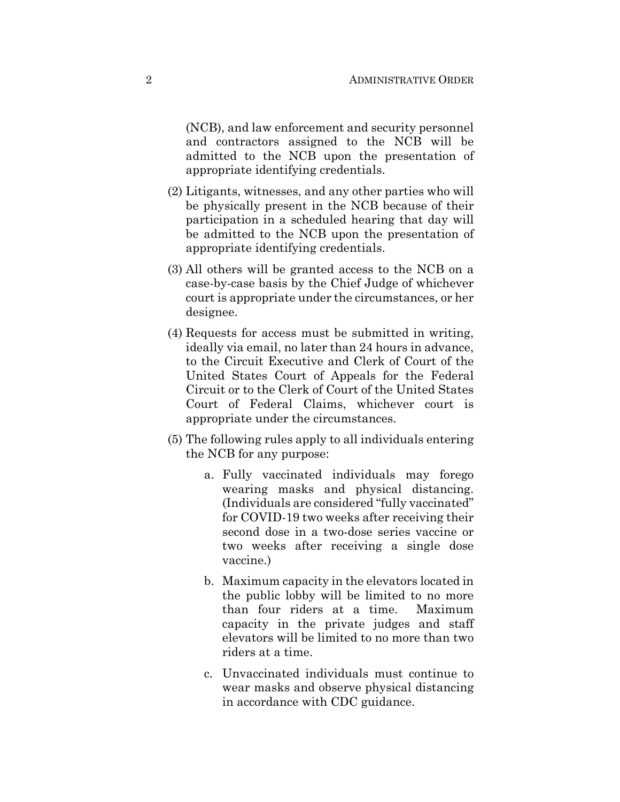(NCB), and law enforcement and security personnel and contractors assigned to the NCB will be admitted to the NCB upon the presentation of appropriate identifying credentials.

- (2) Litigants, witnesses, and any other parties who will be physically present in the NCB because of their participation in a scheduled hearing that day will be admitted to the NCB upon the presentation of appropriate identifying credentials.
- (3) All others will be granted access to the NCB on a case-by-case basis by the Chief Judge of whichever court is appropriate under the circumstances, or her designee.
- (4) Requests for access must be submitted in writing, ideally via email, no later than 24 hours in advance, to the Circuit Executive and Clerk of Court of the United States Court of Appeals for the Federal Circuit or to the Clerk of Court of the United States Court of Federal Claims, whichever court is appropriate under the circumstances.
- (5) The following rules apply to all individuals entering the NCB for any purpose:
	- a. Fully vaccinated individuals may forego wearing masks and physical distancing. (Individuals are considered "fully vaccinated" for COVID-19 two weeks after receiving their second dose in a two-dose series vaccine or two weeks after receiving a single dose vaccine.)
	- b. Maximum capacity in the elevators located in the public lobby will be limited to no more than four riders at a time. Maximum capacity in the private judges and staff elevators will be limited to no more than two riders at a time.
	- c. Unvaccinated individuals must continue to wear masks and observe physical distancing in accordance with CDC guidance.